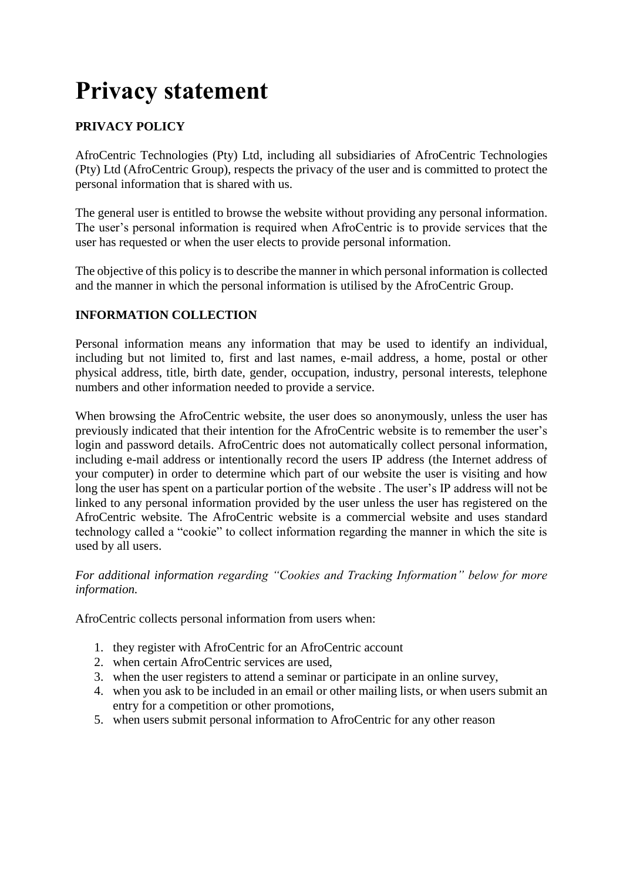# **Privacy statement**

## **PRIVACY POLICY**

AfroCentric Technologies (Pty) Ltd, including all subsidiaries of AfroCentric Technologies (Pty) Ltd (AfroCentric Group), respects the privacy of the user and is committed to protect the personal information that is shared with us.

The general user is entitled to browse the website without providing any personal information. The user's personal information is required when AfroCentric is to provide services that the user has requested or when the user elects to provide personal information.

The objective of this policy is to describe the manner in which personal information is collected and the manner in which the personal information is utilised by the AfroCentric Group.

#### **INFORMATION COLLECTION**

Personal information means any information that may be used to identify an individual, including but not limited to, first and last names, e-mail address, a home, postal or other physical address, title, birth date, gender, occupation, industry, personal interests, telephone numbers and other information needed to provide a service.

When browsing the AfroCentric website, the user does so anonymously, unless the user has previously indicated that their intention for the AfroCentric website is to remember the user's login and password details. AfroCentric does not automatically collect personal information, including e-mail address or intentionally record the users IP address (the Internet address of your computer) in order to determine which part of our website the user is visiting and how long the user has spent on a particular portion of the website . The user's IP address will not be linked to any personal information provided by the user unless the user has registered on the AfroCentric website. The AfroCentric website is a commercial website and uses standard technology called a "cookie" to collect information regarding the manner in which the site is used by all users.

*For additional information regarding "Cookies and Tracking Information" below for more information.*

AfroCentric collects personal information from users when:

- 1. they register with AfroCentric for an AfroCentric account
- 2. when certain AfroCentric services are used,
- 3. when the user registers to attend a seminar or participate in an online survey,
- 4. when you ask to be included in an email or other mailing lists, or when users submit an entry for a competition or other promotions,
- 5. when users submit personal information to AfroCentric for any other reason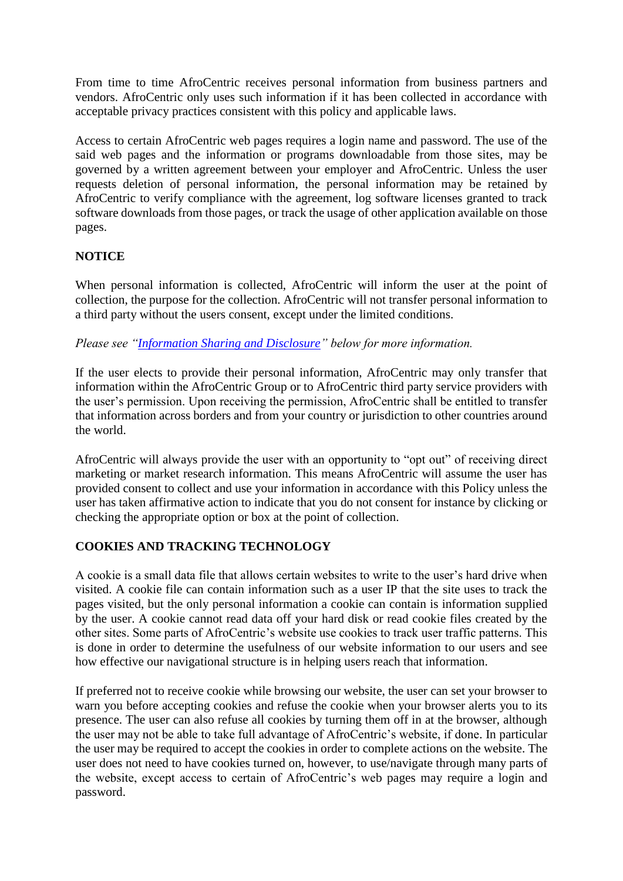From time to time AfroCentric receives personal information from business partners and vendors. AfroCentric only uses such information if it has been collected in accordance with acceptable privacy practices consistent with this policy and applicable laws.

Access to certain AfroCentric web pages requires a login name and password. The use of the said web pages and the information or programs downloadable from those sites, may be governed by a written agreement between your employer and AfroCentric. Unless the user requests deletion of personal information, the personal information may be retained by AfroCentric to verify compliance with the agreement, log software licenses granted to track software downloads from those pages, or track the usage of other application available on those pages.

### **NOTICE**

When personal information is collected, AfroCentric will inform the user at the point of collection, the purpose for the collection. AfroCentric will not transfer personal information to a third party without the users consent, except under the limited conditions.

*Please see ["Information Sharing and Disclosure"](http://www.afrocentric.za.com/utl-disclosure.php) below for more information.*

If the user elects to provide their personal information, AfroCentric may only transfer that information within the AfroCentric Group or to AfroCentric third party service providers with the user's permission. Upon receiving the permission, AfroCentric shall be entitled to transfer that information across borders and from your country or jurisdiction to other countries around the world.

AfroCentric will always provide the user with an opportunity to "opt out" of receiving direct marketing or market research information. This means AfroCentric will assume the user has provided consent to collect and use your information in accordance with this Policy unless the user has taken affirmative action to indicate that you do not consent for instance by clicking or checking the appropriate option or box at the point of collection.

### **COOKIES AND TRACKING TECHNOLOGY**

A cookie is a small data file that allows certain websites to write to the user's hard drive when visited. A cookie file can contain information such as a user IP that the site uses to track the pages visited, but the only personal information a cookie can contain is information supplied by the user. A cookie cannot read data off your hard disk or read cookie files created by the other sites. Some parts of AfroCentric's website use cookies to track user traffic patterns. This is done in order to determine the usefulness of our website information to our users and see how effective our navigational structure is in helping users reach that information.

If preferred not to receive cookie while browsing our website, the user can set your browser to warn you before accepting cookies and refuse the cookie when your browser alerts you to its presence. The user can also refuse all cookies by turning them off in at the browser, although the user may not be able to take full advantage of AfroCentric's website, if done. In particular the user may be required to accept the cookies in order to complete actions on the website. The user does not need to have cookies turned on, however, to use/navigate through many parts of the website, except access to certain of AfroCentric's web pages may require a login and password.